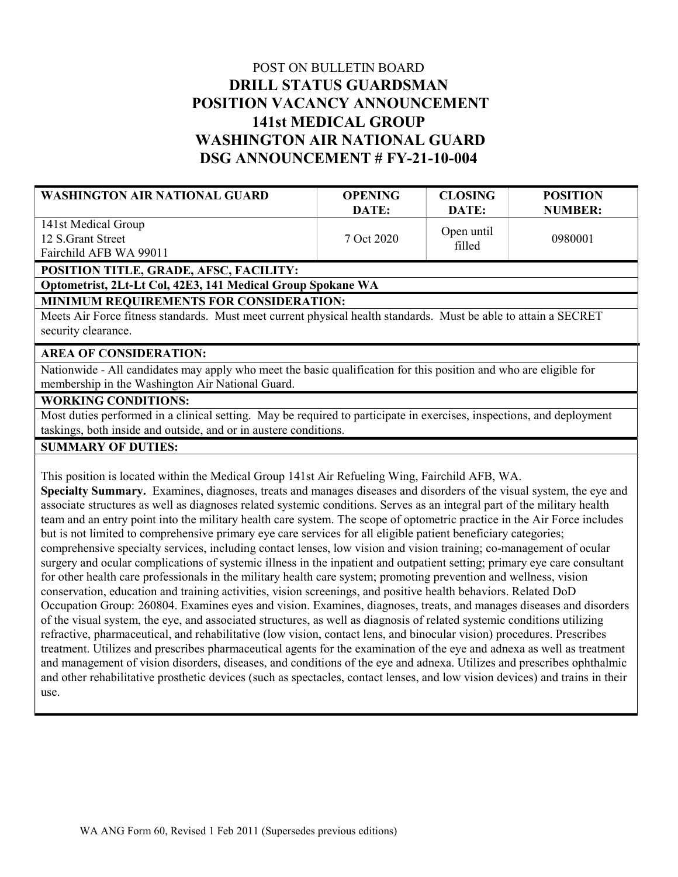# POST ON BULLETIN BOARD DRILL STATUS GUARDSMAN POSITION VACANCY ANNOUNCEMENT 141st MEDICAL GROUP WASHINGTON AIR NATIONAL GUARD DSG ANNOUNCEMENT # FY-21-10-004

| <b>WASHINGTON AIR NATIONAL GUARD</b>                                                                                                                                                                                                | <b>OPENING</b><br>DATE: | <b>CLOSING</b><br>DATE: | <b>POSITION</b><br><b>NUMBER:</b> |  |
|-------------------------------------------------------------------------------------------------------------------------------------------------------------------------------------------------------------------------------------|-------------------------|-------------------------|-----------------------------------|--|
| 141st Medical Group                                                                                                                                                                                                                 |                         | Open until              |                                   |  |
| 12 S.Grant Street                                                                                                                                                                                                                   | 7 Oct 2020              | filled                  | 0980001                           |  |
| Fairchild AFB WA 99011                                                                                                                                                                                                              |                         |                         |                                   |  |
| POSITION TITLE, GRADE, AFSC, FACILITY:<br>Optometrist, 2Lt-Lt Col, 42E3, 141 Medical Group Spokane WA                                                                                                                               |                         |                         |                                   |  |
| MINIMUM REQUIREMENTS FOR CONSIDERATION:                                                                                                                                                                                             |                         |                         |                                   |  |
| Meets Air Force fitness standards. Must meet current physical health standards. Must be able to attain a SECRET                                                                                                                     |                         |                         |                                   |  |
| security clearance.                                                                                                                                                                                                                 |                         |                         |                                   |  |
| <b>AREA OF CONSIDERATION:</b>                                                                                                                                                                                                       |                         |                         |                                   |  |
| Nationwide - All candidates may apply who meet the basic qualification for this position and who are eligible for                                                                                                                   |                         |                         |                                   |  |
| membership in the Washington Air National Guard.                                                                                                                                                                                    |                         |                         |                                   |  |
| <b>WORKING CONDITIONS:</b>                                                                                                                                                                                                          |                         |                         |                                   |  |
| Most duties performed in a clinical setting. May be required to participate in exercises, inspections, and deployment                                                                                                               |                         |                         |                                   |  |
| taskings, both inside and outside, and or in austere conditions.                                                                                                                                                                    |                         |                         |                                   |  |
| <b>SUMMARY OF DUTIES:</b>                                                                                                                                                                                                           |                         |                         |                                   |  |
| This position is located within the Medical Group 141st Air Refueling Wing, Fairchild AFB, WA.                                                                                                                                      |                         |                         |                                   |  |
| Specialty Summary. Examines, diagnoses, treats and manages diseases and disorders of the visual system, the eye and                                                                                                                 |                         |                         |                                   |  |
| associate structures as well as diagnoses related systemic conditions. Serves as an integral part of the military health                                                                                                            |                         |                         |                                   |  |
| team and an entry point into the military health care system. The scope of optometric practice in the Air Force includes                                                                                                            |                         |                         |                                   |  |
| but is not limited to comprehensive primary eye care services for all eligible patient beneficiary categories;                                                                                                                      |                         |                         |                                   |  |
| comprehensive specialty services, including contact lenses, low vision and vision training; co-management of ocular                                                                                                                 |                         |                         |                                   |  |
| surgery and ocular complications of systemic illness in the inpatient and outpatient setting; primary eye care consultant                                                                                                           |                         |                         |                                   |  |
| for other health care professionals in the military health care system; promoting prevention and wellness, vision                                                                                                                   |                         |                         |                                   |  |
| conservation, education and training activities, vision screenings, and positive health behaviors. Related DoD<br>Occupation Group: 260804 Evamines eyes and vision Evamines, diagnoses, treats, and manages diseases and disorders |                         |                         |                                   |  |

Occupation Group: 260804. Examines eyes and vision. Examines, diagnoses, treats, and manages diseases and disorders of the visual system, the eye, and associated structures, as well as diagnosis of related systemic conditions utilizing refractive, pharmaceutical, and rehabilitative (low vision, contact lens, and binocular vision) procedures. Prescribes treatment. Utilizes and prescribes pharmaceutical agents for the examination of the eye and adnexa as well as treatment and management of vision disorders, diseases, and conditions of the eye and adnexa. Utilizes and prescribes ophthalmic and other rehabilitative prosthetic devices (such as spectacles, contact lenses, and low vision devices) and trains in their use.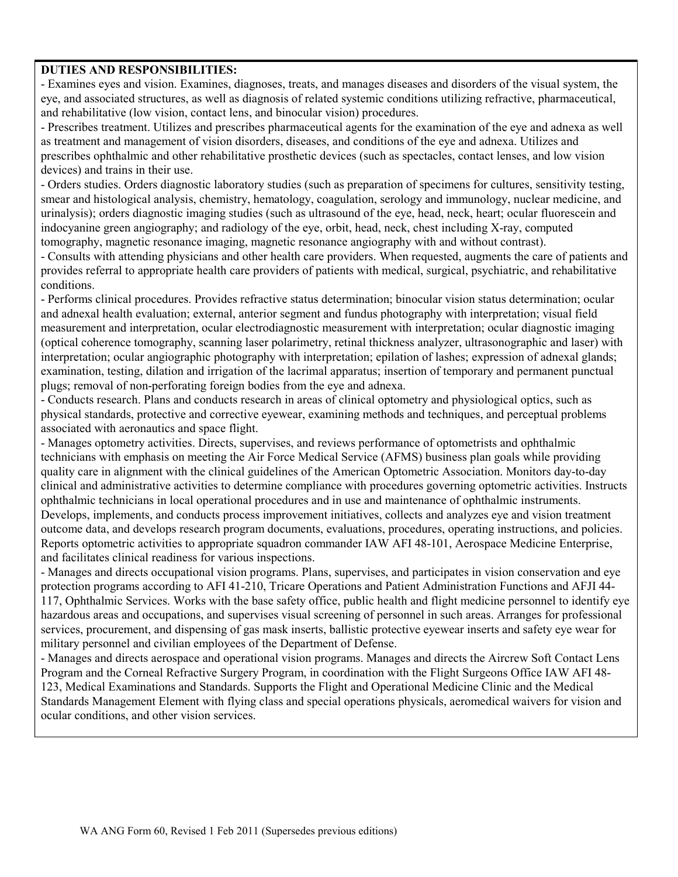#### DUTIES AND RESPONSIBILITIES:

- Examines eyes and vision. Examines, diagnoses, treats, and manages diseases and disorders of the visual system, the eye, and associated structures, as well as diagnosis of related systemic conditions utilizing refractive, pharmaceutical, and rehabilitative (low vision, contact lens, and binocular vision) procedures.

- Prescribes treatment. Utilizes and prescribes pharmaceutical agents for the examination of the eye and adnexa as well as treatment and management of vision disorders, diseases, and conditions of the eye and adnexa. Utilizes and prescribes ophthalmic and other rehabilitative prosthetic devices (such as spectacles, contact lenses, and low vision devices) and trains in their use.

- Orders studies. Orders diagnostic laboratory studies (such as preparation of specimens for cultures, sensitivity testing, smear and histological analysis, chemistry, hematology, coagulation, serology and immunology, nuclear medicine, and urinalysis); orders diagnostic imaging studies (such as ultrasound of the eye, head, neck, heart; ocular fluorescein and indocyanine green angiography; and radiology of the eye, orbit, head, neck, chest including X-ray, computed tomography, magnetic resonance imaging, magnetic resonance angiography with and without contrast).

- Consults with attending physicians and other health care providers. When requested, augments the care of patients and provides referral to appropriate health care providers of patients with medical, surgical, psychiatric, and rehabilitative conditions.

- Performs clinical procedures. Provides refractive status determination; binocular vision status determination; ocular and adnexal health evaluation; external, anterior segment and fundus photography with interpretation; visual field measurement and interpretation, ocular electrodiagnostic measurement with interpretation; ocular diagnostic imaging (optical coherence tomography, scanning laser polarimetry, retinal thickness analyzer, ultrasonographic and laser) with interpretation; ocular angiographic photography with interpretation; epilation of lashes; expression of adnexal glands; examination, testing, dilation and irrigation of the lacrimal apparatus; insertion of temporary and permanent punctual plugs; removal of non-perforating foreign bodies from the eye and adnexa.

- Conducts research. Plans and conducts research in areas of clinical optometry and physiological optics, such as physical standards, protective and corrective eyewear, examining methods and techniques, and perceptual problems associated with aeronautics and space flight.

- Manages optometry activities. Directs, supervises, and reviews performance of optometrists and ophthalmic technicians with emphasis on meeting the Air Force Medical Service (AFMS) business plan goals while providing quality care in alignment with the clinical guidelines of the American Optometric Association. Monitors day-to-day clinical and administrative activities to determine compliance with procedures governing optometric activities. Instructs ophthalmic technicians in local operational procedures and in use and maintenance of ophthalmic instruments. Develops, implements, and conducts process improvement initiatives, collects and analyzes eye and vision treatment outcome data, and develops research program documents, evaluations, procedures, operating instructions, and policies. Reports optometric activities to appropriate squadron commander IAW AFI 48-101, Aerospace Medicine Enterprise, and facilitates clinical readiness for various inspections.

- Manages and directs occupational vision programs. Plans, supervises, and participates in vision conservation and eye protection programs according to AFI 41-210, Tricare Operations and Patient Administration Functions and AFJI 44- 117, Ophthalmic Services. Works with the base safety office, public health and flight medicine personnel to identify eye hazardous areas and occupations, and supervises visual screening of personnel in such areas. Arranges for professional services, procurement, and dispensing of gas mask inserts, ballistic protective eyewear inserts and safety eye wear for military personnel and civilian employees of the Department of Defense.

- Manages and directs aerospace and operational vision programs. Manages and directs the Aircrew Soft Contact Lens Program and the Corneal Refractive Surgery Program, in coordination with the Flight Surgeons Office IAW AFI 48- 123, Medical Examinations and Standards. Supports the Flight and Operational Medicine Clinic and the Medical Standards Management Element with flying class and special operations physicals, aeromedical waivers for vision and ocular conditions, and other vision services.